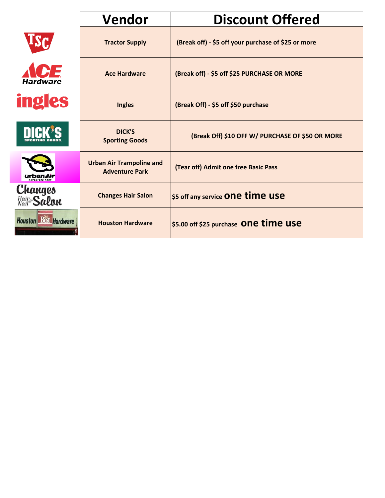|                                      | Vendor                                                   | <b>Discount Offered</b>                             |
|--------------------------------------|----------------------------------------------------------|-----------------------------------------------------|
|                                      | <b>Tractor Supply</b>                                    | (Break off) - \$5 off your purchase of \$25 or more |
| ICE<br><b>Hardware</b>               | <b>Ace Hardware</b>                                      | (Break off) - \$5 off \$25 PURCHASE OR MORE         |
| <b>ingles</b>                        | <b>Ingles</b>                                            | (Break Off) - \$5 off \$50 purchase                 |
| <b>DICK'S</b>                        | DICK'S<br><b>Sporting Goods</b>                          | (Break Off) \$10 OFF W/ PURCHASE OF \$50 OR MORE    |
|                                      | <b>Urban Air Trampoline and</b><br><b>Adventure Park</b> | (Tear off) Admit one free Basic Pass                |
| <b>Changes</b><br>Maire <b>Salon</b> | <b>Changes Hair Salon</b>                                | \$5 off any service One time use                    |
| <b>Houston Best Hardware</b>         | <b>Houston Hardware</b>                                  | \$5.00 off \$25 purchase One time use               |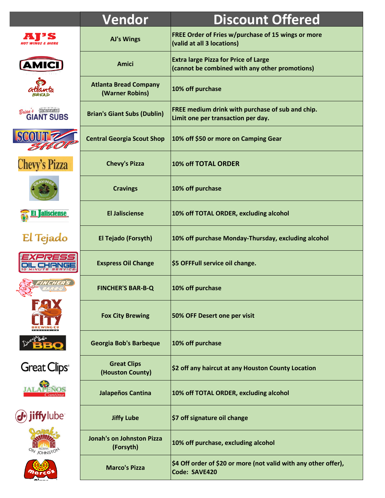|                                                 | Vendor                                          | <b>Discount Offered</b>                                                                       |
|-------------------------------------------------|-------------------------------------------------|-----------------------------------------------------------------------------------------------|
|                                                 | <b>AJ's Wings</b>                               | FREE Order of Fries w/purchase of 15 wings or more<br>(valid at all 3 locations)              |
| <b>AMICI</b>                                    | Amici                                           | <b>Extra large Pizza for Price of Large</b><br>(cannot be combined with any other promotions) |
|                                                 | <b>Atlanta Bread Company</b><br>(Warner Robins) | 10% off purchase                                                                              |
| <b>Barbaran</b><br>Brian &<br><b>GIANT SUBS</b> | <b>Brian's Giant Subs (Dublin)</b>              | FREE medium drink with purchase of sub and chip.<br>Limit one per transaction per day.        |
|                                                 | <b>Central Georgia Scout Shop</b>               | 10% off \$50 or more on Camping Gear                                                          |
| <b>Chevy's Pizza</b>                            | <b>Chevy's Pizza</b>                            | 10% off TOTAL ORDER                                                                           |
|                                                 | <b>Cravings</b>                                 | 10% off purchase                                                                              |
| alisciense                                      | <b>El Jalisciense</b>                           | 10% off TOTAL ORDER, excluding alcohol                                                        |
| El Tejado                                       | El Tejado (Forsyth)                             | 10% off purchase Monday-Thursday, excluding alcohol                                           |
|                                                 | <b>Exspress Oil Change</b>                      | \$5 OFFFull service oil change.                                                               |
| z                                               | <b>FINCHER'S BAR-B-Q</b>                        | 10% off purchase                                                                              |
|                                                 | <b>Fox City Brewing</b>                         | 50% OFF Desert one per visit                                                                  |
|                                                 | Georgia Bob's Barbeque                          | 10% off purchase                                                                              |
| <b>Great Clips</b> <sup>®</sup>                 | <b>Great Clips</b><br>(Houston County)          | \$2 off any haircut at any Houston County Location                                            |
|                                                 | Jalapeños Cantina                               | 10% off TOTAL ORDER, excluding alcohol                                                        |
| ube <sup>®</sup>                                | <b>Jiffy Lube</b>                               | \$7 off signature oil change                                                                  |
| <b>JOHNSTON</b>                                 | <b>Jonah's on Johnston Pizza</b><br>(Forsyth)   | 10% off purchase, excluding alcohol                                                           |
|                                                 | <b>Marco's Pizza</b>                            | \$4 Off order of \$20 or more (not valid with any other offer),<br>Code: SAVE420              |